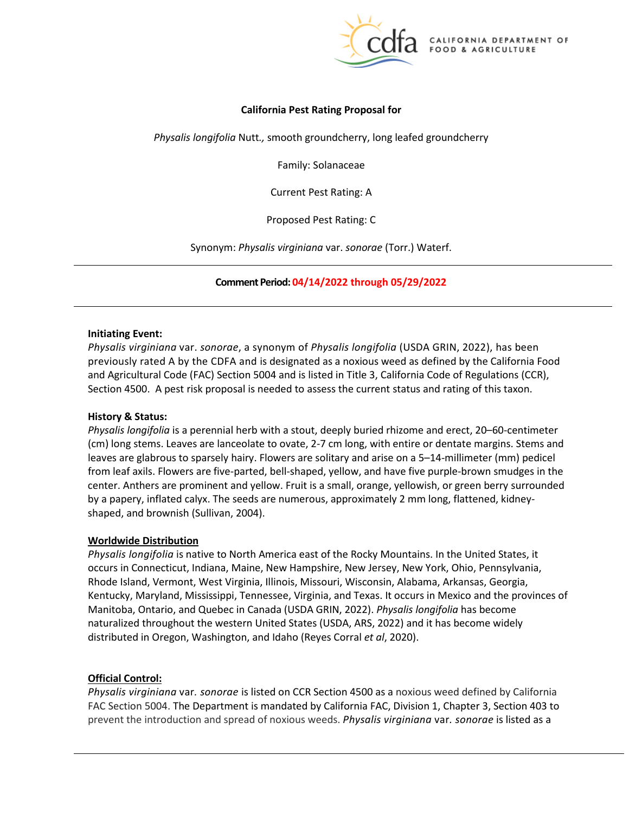

## **California Pest Rating Proposal for**

*Physalis longifolia* Nutt*.,* smooth groundcherry, long leafed groundcherry

Family: Solanaceae

Current Pest Rating: A

Proposed Pest Rating: C

 Synonym: *Physalis virginiana* var. *sonorae* (Torr.) Waterf.

**Comment Period: 04/14/2022 through 05/29/2022**

#### **Initiating Event:**

 *Physalis virginiana* var. *sonorae*, a synonym of *Physalis longifolia* (USDA GRIN, 2022), has been previously rated A by the CDFA and is designated as a noxious weed as defined by the California Food and Agricultural Code (FAC) Section 5004 and is listed in Title 3, California Code of Regulations (CCR), Section 4500. A pest risk proposal is needed to assess the current status and rating of this taxon.

## **History & Status:**

 *Physalis longifolia* is a perennial herb with a stout, deeply buried rhizome and erect, 20–60-centimeter from leaf axils. Flowers are five-parted, bell-shaped, yellow, and have five purple-brown smudges in the center. Anthers are prominent and yellow. Fruit is a small, orange, yellowish, or green berry surrounded (cm) long stems. Leaves are lanceolate to ovate, 2-7 cm long, with entire or dentate margins. Stems and leaves are glabrous to sparsely hairy. Flowers are solitary and arise on a 5–14-millimeter (mm) pedicel by a papery, inflated calyx. The seeds are numerous, approximately 2 mm long, flattened, kidneyshaped, and brownish (Sullivan, 2004).

#### **Worldwide Distribution**

 *Physalis longifolia* is native to North America east of the Rocky Mountains. In the United States, it Kentucky, Maryland, Mississippi, Tennessee, Virginia, and Texas. It occurs in Mexico and the provinces of occurs in Connecticut, Indiana, Maine, New Hampshire, New Jersey, New York, Ohio, Pennsylvania, Rhode Island, Vermont, West Virginia, Illinois, Missouri, Wisconsin, Alabama, Arkansas, Georgia, Manitoba, Ontario, and Quebec in Canada (USDA GRIN, 2022). *Physalis longifolia* has become naturalized throughout the western United States (USDA, ARS, 2022) and it has become widely distributed in Oregon, Washington, and Idaho (Reyes Corral *et al*, 2020).

## **Official Control:**

 *Physalis virginiana* var*. sonorae* is listed on CCR Section 4500 as a noxious weed defined by California FAC Section 5004. The Department is mandated by California FAC, Division 1, Chapter 3, Section 403 to  prevent the introduction and spread of noxious weeds. *Physalis virginiana* var*. sonorae* is listed as a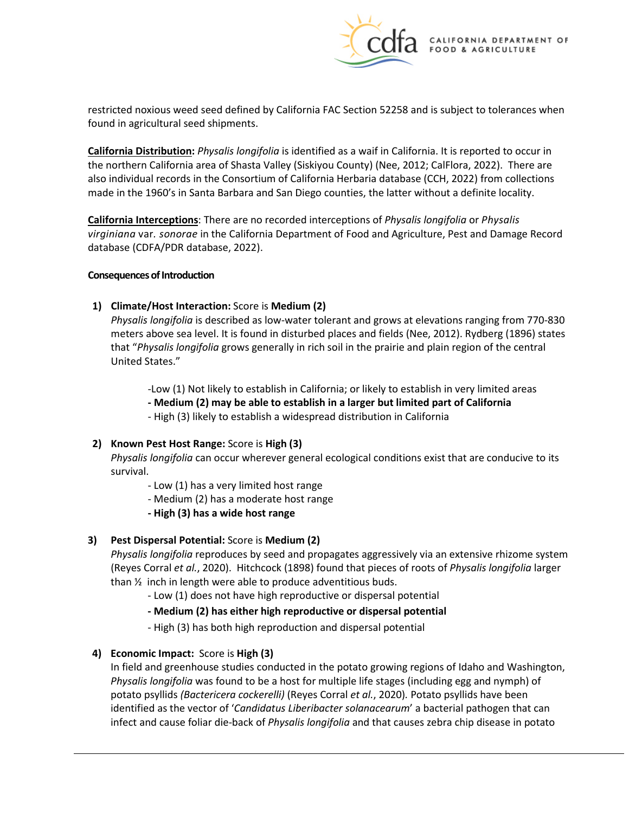

 restricted noxious weed seed defined by California FAC Section 52258 and is subject to tolerances when found in agricultural seed shipments.

 **California Distribution:** *Physalis longifolia* is identified as a waif in California. It is reported to occur in the northern California area of Shasta Valley (Siskiyou County) (Nee, 2012; CalFlora, 2022). There are made in the 1960's in Santa Barbara and San Diego counties, the latter without a definite locality. also individual records in the Consortium of California Herbaria database (CCH, 2022) from collections

 *virginiana* var*. sonorae* in the California Department of Food and Agriculture, Pest and Damage Record **California Interceptions**: There are no recorded interceptions of *Physalis longifolia* or *Physalis*  database (CDFA/PDR database, 2022).

#### **Consequences of Introduction**

## **1)** Climate/Host Interaction: Score is Medium (2)

 *Physalis longifolia* is described as low-water tolerant and grows at elevations ranging from 770-830 meters above sea level. It is found in disturbed places and fields (Nee, 2012). Rydberg (1896) states that "*Physalis longifolia* grows generally in rich soil in the prairie and plain region of the central United States."

-Low (1) Not likely to establish in California; or likely to establish in very limited areas

- **- Medium (2) may be able to establish in a larger but limited part of California**
- High (3) likely to establish a widespread distribution in California

## **2) Known Pest Host Range:** Score is **High (3)**

*Physalis longifolia* can occur wherever general ecological conditions exist that are conducive to its survival.

- Low (1) has a very limited host range
- Medium (2) has a moderate host range
- **- High (3) has a wide host range**

# **3) Pest Dispersal Potential:** Score is **Medium (2)**

*Physalis longifolia* reproduces by seed and propagates aggressively via an extensive rhizome system (Reyes Corral *et al.*, 2020). Hitchcock (1898) found that pieces of roots of *Physalis longifolia* larger than ½ inch in length were able to produce adventitious buds.

- Low (1) does not have high reproductive or dispersal potential

# **- Medium (2) has either high reproductive or dispersal potential**

- High (3) has both high reproduction and dispersal potential

# **4) Economic Impact:** Score is **High (3)**

 identified as the vector of '*Candidatus Liberibacter solanacearum*' a bacterial pathogen that can In field and greenhouse studies conducted in the potato growing regions of Idaho and Washington, *Physalis longifolia* was found to be a host for multiple life stages (including egg and nymph) of potato psyllids *(Bactericera cockerelli)* (Reyes Corral *et al.*, 2020)*.* Potato psyllids have been infect and cause foliar die-back of *Physalis longifolia* and that causes zebra chip disease in potato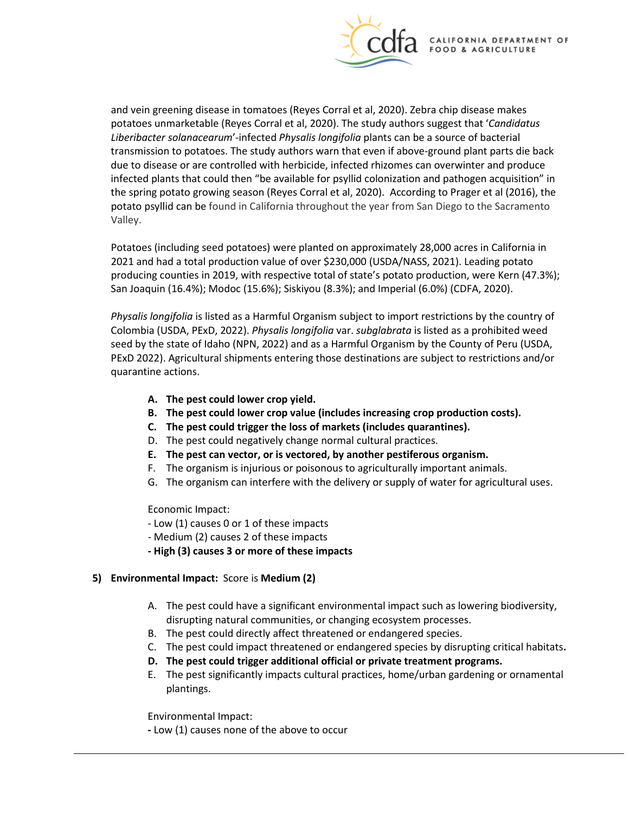

 and vein greening disease in tomatoes (Reyes Corral et al, 2020). Zebra chip disease makes infected plants that could then "be available for psyllid colonization and pathogen acquisition" in the spring potato growing season (Reyes Corral et al, 2020). According to Prager et al (2016), the potato psyllid can be found in California throughout the year from San Diego to the Sacramento potatoes unmarketable (Reyes Corral et al, 2020). The study authors suggest that '*Candidatus Liberibacter solanacearum*'-infected *Physalis longifolia* plants can be a source of bacterial transmission to potatoes. The study authors warn that even if above-ground plant parts die back due to disease or are controlled with herbicide, infected rhizomes can overwinter and produce Valley.

 2021 and had a total production value of over \$230,000 (USDA/NASS, 2021). Leading potato producing counties in 2019, with respective total of state's potato production, were Kern (47.3%); San Joaquin (16.4%); Modoc (15.6%); Siskiyou (8.3%); and Imperial (6.0%) (CDFA, 2020). Potatoes (including seed potatoes) were planted on approximately 28,000 acres in California in

 Colombia (USDA, PExD, 2022). *Physalis longifolia* var. *subglabrata* is listed as a prohibited weed seed by the state of Idaho (NPN, 2022) and as a Harmful Organism by the County of Peru (USDA, *Physalis longifolia* is listed as a Harmful Organism subject to import restrictions by the country of PExD 2022). Agricultural shipments entering those destinations are subject to restrictions and/or quarantine actions.

- **A. The pest could lower crop yield.**
- **B. The pest could lower crop value (includes increasing crop production costs).**
- **C. The pest could trigger the loss of markets (includes quarantines).**
- D. The pest could negatively change normal cultural practices.
- **E. The pest can vector, or is vectored, by another pestiferous organism.**
- F. The organism is injurious or poisonous to agriculturally important animals.
- G. The organism can interfere with the delivery or supply of water for agricultural uses.

Economic Impact:

- Low (1) causes 0 or 1 of these impacts
- Medium (2) causes 2 of these impacts
- **- High (3) causes 3 or more of these impacts**
- **5) Environmental Impact:** Score is **Medium (2)** 
	- A. The pest could have a significant environmental impact such as lowering biodiversity, disrupting natural communities, or changing ecosystem processes.
	- B. The pest could directly affect threatened or endangered species.
	-
	- C. The pest could impact threatened or endangered species by disrupting critical habitats**. D. The pest could trigger additional official or private treatment programs.**
	- E. The pest significantly impacts cultural practices, home/urban gardening or ornamental plantings.

Environmental Impact:

**-** Low (1) causes none of the above to occur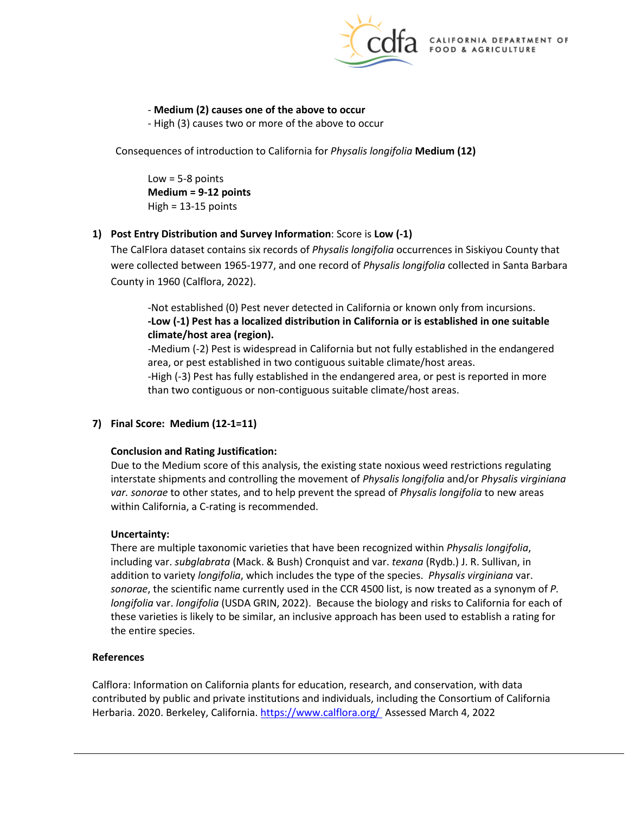

## - **Medium (2) causes one of the above to occur**

- High (3) causes two or more of the above to occur

 Consequences of introduction to California for *Physalis longifolia* **Medium (12)** 

 $Low = 5-8$  points **Medium = 9-12 points**   $High = 13-15$  points

# **1) Post Entry Distribution and Survey Information**: Score is **Low (-1)**

 were collected between 1965-1977, and one record of *Physalis longifolia* collected in Santa Barbara The CalFlora dataset contains six records of *Physalis longifolia* occurrences in Siskiyou County that County in 1960 (Calflora, 2022).

 -Not established (0) Pest never detected in California or known only from incursions. **-Low (-1) Pest has a localized distribution in California or is established in one suitable climate/host area (region).** 

-Medium (-2) Pest is widespread in California but not fully established in the endangered area, or pest established in two contiguous suitable climate/host areas.

-High (-3) Pest has fully established in the endangered area, or pest is reported in more than two contiguous or non-contiguous suitable climate/host areas.

# **7) Final Score: Medium (12-1=11)**

## **Conclusion and Rating Justification:**

 *var. sonorae* to other states, and to help prevent the spread of *Physalis longifolia* to new areas Due to the Medium score of this analysis, the existing state noxious weed restrictions regulating interstate shipments and controlling the movement of *Physalis longifolia* and/or *Physalis virginiana*  within California, a C-rating is recommended.

## **Uncertainty:**

 addition to variety *longifolia*, which includes the type of the species. *Physalis virginiana* var. *longifolia* var. *longifolia* (USDA GRIN, 2022). Because the biology and risks to California for each of There are multiple taxonomic varieties that have been recognized within *Physalis longifolia*, including var. *subglabrata* (Mack. & Bush) Cronquist and var. *texana* (Rydb.) J. R. Sullivan, in *sonorae*, the scientific name currently used in the CCR 4500 list, is now treated as a synonym of *P.*  these varieties is likely to be similar, an inclusive approach has been used to establish a rating for the entire species.

#### **References**

[Calflora:](https://www.calflora.org/) Information on California plants for education, research, and conservation, with data contributed by public and private institutions and individuals, including the [Consortium of California](http://ucjeps.berkeley.edu/consortium/about.html)  [Herbaria.](http://ucjeps.berkeley.edu/consortium/about.html) 2020. Berkeley, California[. https://www.calflora.org/](https://www.calflora.org/) Assessed March 4, 2022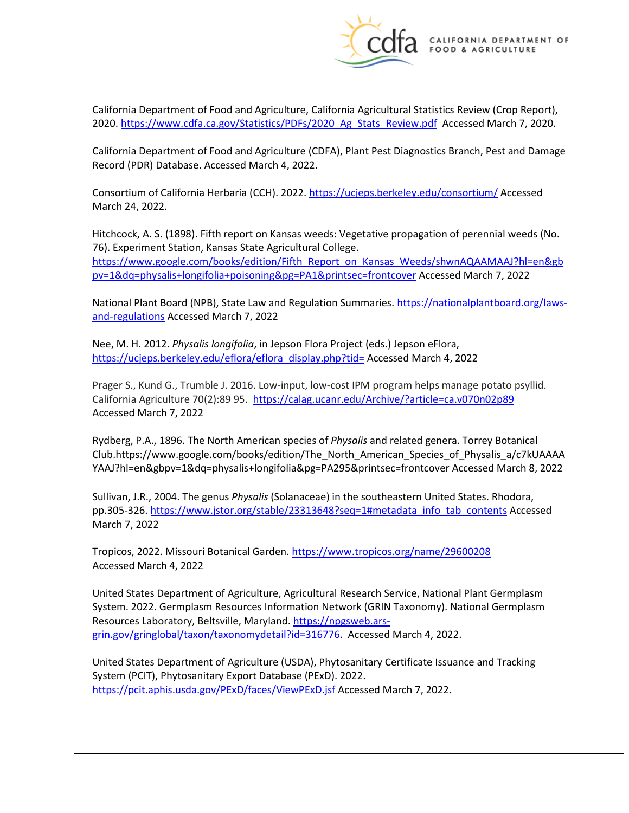

 California Department of Food and Agriculture, California Agricultural Statistics Review (Crop Report), 2020[. https://www.cdfa.ca.gov/Statistics/PDFs/2020\\_Ag\\_Stats\\_Review.pdf](https://www.cdfa.ca.gov/Statistics/PDFs/2020_Ag_Stats_Review.pdf) Accessed March 7, 2020.

 California Department of Food and Agriculture (CDFA), Plant Pest Diagnostics Branch, Pest and Damage Record (PDR) Database. Accessed March 4, 2022.

Consortium of California Herbaria (CCH). 2022.<https://ucjeps.berkeley.edu/consortium/>Accessed March 24, 2022.

 Hitchcock, A. S. (1898). Fifth report on Kansas weeds: Vegetative propagation of perennial weeds (No. 76). Experiment Station, Kansas State Agricultural College. [https://www.google.com/books/edition/Fifth\\_Report\\_on\\_Kansas\\_Weeds/shwnAQAAMAAJ?hl=en&gb](https://www.google.com/books/edition/Fifth_Report_on_Kansas_Weeds/shwnAQAAMAAJ?hl=en&gbpv=1&dq=physalis+longifolia+poisoning&pg=PA1&printsec=frontcover)  [pv=1&dq=physalis+longifolia+poisoning&pg=PA1&printsec=frontcover A](https://www.google.com/books/edition/Fifth_Report_on_Kansas_Weeds/shwnAQAAMAAJ?hl=en&gbpv=1&dq=physalis+longifolia+poisoning&pg=PA1&printsec=frontcover)ccessed March 7, 2022

National Plant Board (NPB), State Law and Regulation Summaries[. https://nationalplantboard.org/laws](https://nationalplantboard.org/laws-and-regulations)[and-regulations A](https://nationalplantboard.org/laws-and-regulations)ccessed March 7, 2022

Nee, M. H. 2012. *Physalis longifolia*, in Jepson Flora Project (eds.) Jepson eFlora, [https://ucjeps.berkeley.edu/eflora/eflora\\_display.php?tid=](https://ucjeps.berkeley.edu/eflora/eflora_display.php?tid=) Accessed March 4, 2022

California Agriculture 70(2):89 95. https://calag.ucanr.edu/Archive/?article=ca.v070n02p89 Prager S., Kund G., Trumble J. 2016. Low-input, low-cost IPM program helps manage potato psyllid. Accessed March 7, 2022

 Rydberg, P.A., 1896. The North American species of *Physalis* and related genera. Torrey Botanical [Club.https://www.google.com/books/edition/The\\_North\\_American\\_Species\\_of\\_Physalis\\_a/c7kUAAAA](https://Club.https://www.google.com/books/edition/The_North_American_Species_of_Physalis_a/c7kUAAAA) YAAJ?hl=en&gbpv=1&dq=physalis+longifolia&pg=PA295&printsec=frontcover Accessed March 8, 2022

Sullivan, J.R., 2004. The genus *Physalis* (Solanaceae) in the southeastern United States. Rhodora, pp.305-326[. https://www.jstor.org/stable/23313648?seq=1#metadata\\_info\\_tab\\_contents](https://www.jstor.org/stable/23313648?seq=1#metadata_info_tab_contents) Accessed March 7, 2022

Tropicos, 2022. Missouri Botanical Garden.<https://www.tropicos.org/name/29600208> Accessed March 4, 2022

 United States Department of Agriculture, Agricultural Research Service, National Plant Germplasm System. 2022. Germplasm Resources Information Network (GRIN Taxonomy). National Germplasm [grin.gov/gringlobal/taxon/taxonomydetail?id=316776.](https://npgsweb.ars-grin.gov/gringlobal/taxon/taxonomydetail?id=316776) Accessed March 4, 2022. Resources Laboratory, Beltsville, Maryland[. https://npgsweb.ars-](https://npgsweb.ars-grin.gov/gringlobal/taxon/taxonomydetail?id=316776)

United States Department of Agriculture (USDA), Phytosanitary Certificate Issuance and Tracking System (PCIT), Phytosanitary Export Database (PExD). 2022. <https://pcit.aphis.usda.gov/PExD/faces/ViewPExD.jsf>Accessed March 7, 2022.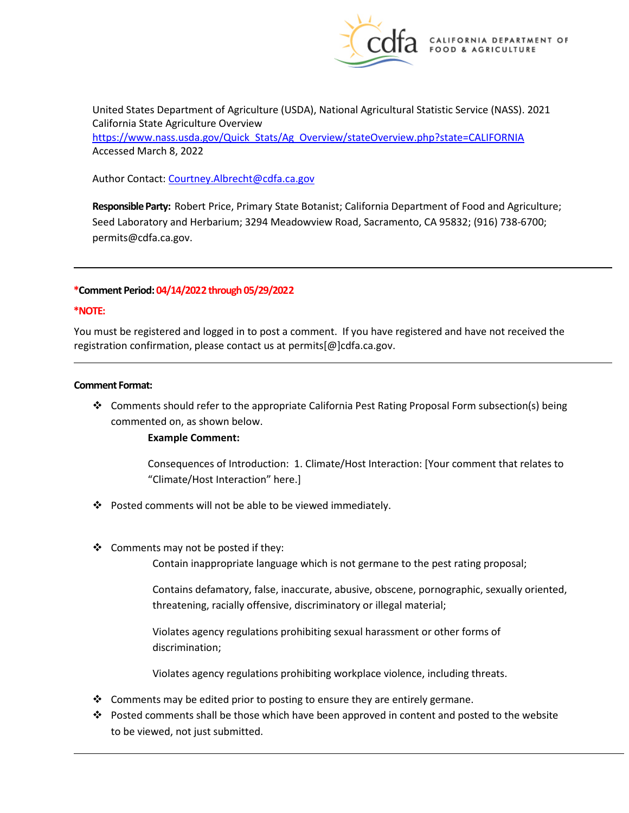

 United States Department of Agriculture (USDA), National Agricultural Statistic Service (NASS). 2021 California State Agriculture Overview [https://www.nass.usda.gov/Quick\\_Stats/Ag\\_Overview/stateOverview.php?state=CALIFORNIA](https://www.nass.usda.gov/Quick_Stats/Ag_Overview/stateOverview.php?state=CALIFORNIA)  Accessed March 8, 2022

Author Contact: Courtney.Albrecht@cdfa.ca.gov

 **Responsible Party:** Robert Price, Primary State Botanist; California Department of Food and Agriculture; Seed Laboratory and Herbarium; 3294 Meadowview Road, Sacramento, CA 95832; (916) 738-6700; [permits@cdfa.ca.gov.](mailto:permits@cdfa.ca.gov)

#### **\*Comment Period: 04/14/2022 through 05/29/2022**

#### **\*NOTE:**

You must be registered and logged in to post a comment. If you have registered and have not received the registration confirmation, please contact us at [permits\[@\]cdfa.ca.gov](https://permits[@]cdfa.ca.gov).

#### **Comment Format:**

 Comments should refer to the appropriate California Pest Rating Proposal Form subsection(s) being commented on, as shown below.

#### **Example Comment:**

 Consequences of Introduction: 1. Climate/Host Interaction: [Your comment that relates to "Climate/Host Interaction" here.]

- $\cdot \cdot$  Posted comments will not be able to be viewed immediately.
- ❖ Comments may not be posted if they:

Contain inappropriate language which is not germane to the pest rating proposal;

 Contains defamatory, false, inaccurate, abusive, obscene, pornographic, sexually oriented, threatening, racially offensive, discriminatory or illegal material;

Violates agency regulations prohibiting sexual harassment or other forms of discrimination;

Violates agency regulations prohibiting workplace violence, including threats.

- $\cdot$  Comments may be edited prior to posting to ensure they are entirely germane.
- Posted comments shall be those which have been approved in content and posted to the website to be viewed, not just submitted.